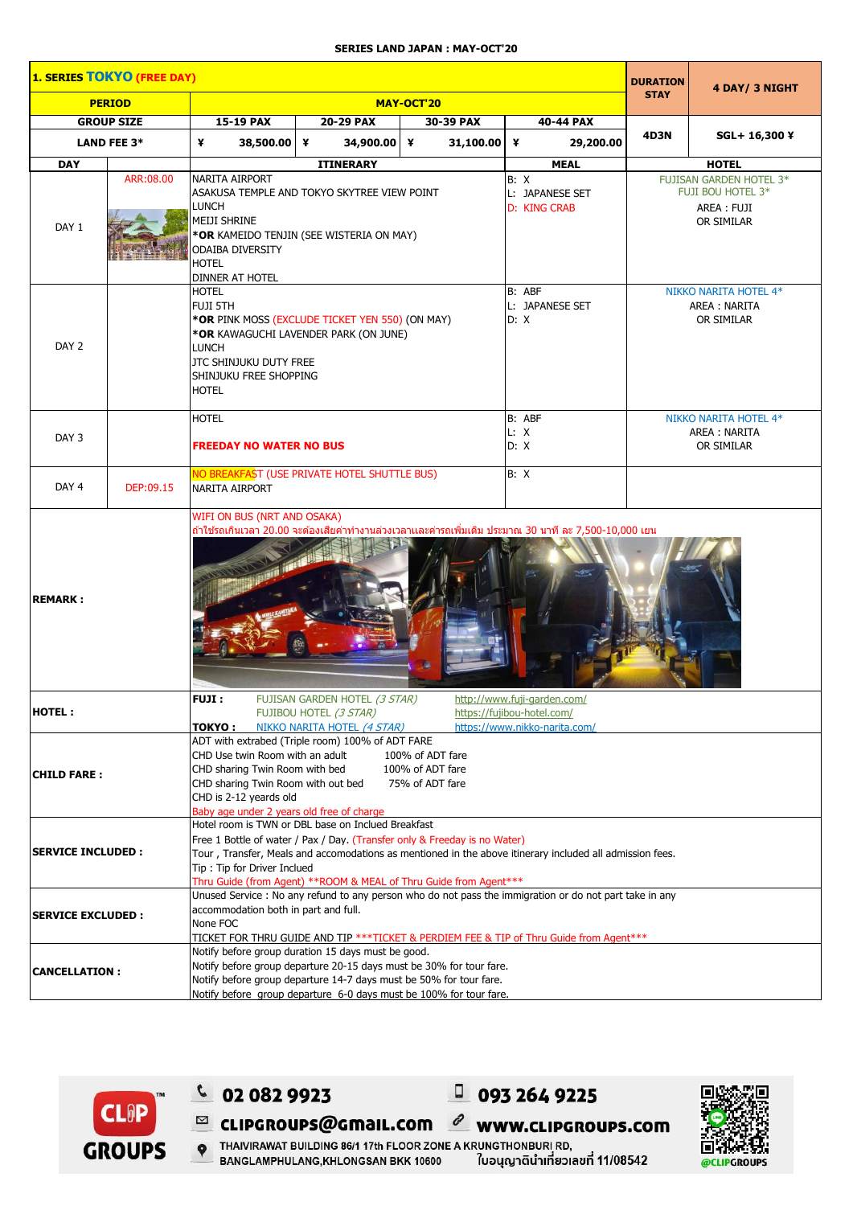## **SERIES LAND JAPAN : MAY-OCT'20**

| 1. SERIES TOKYO (FREE DAY)<br><b>DURATION</b> |                    |                                                                                                                                                                                                                                                                                                                                                 |                  |           |                                                |                                                                                  | 4 DAY/ 3 NIGHT |  |  |
|-----------------------------------------------|--------------------|-------------------------------------------------------------------------------------------------------------------------------------------------------------------------------------------------------------------------------------------------------------------------------------------------------------------------------------------------|------------------|-----------|------------------------------------------------|----------------------------------------------------------------------------------|----------------|--|--|
| <b>PERIOD</b>                                 |                    | MAY-OCT'20                                                                                                                                                                                                                                                                                                                                      |                  |           |                                                | <b>STAY</b>                                                                      |                |  |  |
| <b>GROUP SIZE</b>                             |                    | 15-19 PAX<br>30-39 PAX<br>40-44 PAX<br>20-29 PAX                                                                                                                                                                                                                                                                                                |                  |           |                                                |                                                                                  |                |  |  |
|                                               | <b>LAND FEE 3*</b> | ¥<br>38,500.00 ¥                                                                                                                                                                                                                                                                                                                                | 34,900.00 ¥      | 31,100.00 | ¥<br>29,200.00                                 | 4D3N                                                                             | SGL+ 16,300 ¥  |  |  |
| <b>DAY</b>                                    |                    |                                                                                                                                                                                                                                                                                                                                                 | <b>ITINERARY</b> |           | <b>MEAL</b>                                    |                                                                                  | <b>HOTEL</b>   |  |  |
| DAY 1                                         | ARR:08.00          | NARITA AIRPORT<br>ASAKUSA TEMPLE AND TOKYO SKYTREE VIEW POINT<br>LUNCH<br>Meiji shrine<br>*OR KAMEIDO TENJIN (SEE WISTERIA ON MAY)<br>ODAIBA DIVERSITY<br><b>HOTEL</b><br>DINNER AT HOTEL                                                                                                                                                       |                  |           | B: X<br>L: JAPANESE SET<br><b>D: KING CRAB</b> | <b>FUJISAN GARDEN HOTEL 3*</b><br>FUJI BOU HOTEL 3*<br>AREA : FUJI<br>OR SIMILAR |                |  |  |
| DAY 2                                         |                    | HOTEL<br>FUJI 5TH<br>* <b>OR</b> PINK MOSS (EXCLUDE TICKET YEN 550) (ON MAY)<br>*OR KAWAGUCHI LAVENDER PARK (ON JUNE)<br><b>LUNCH</b><br><b>JTC SHINJUKU DUTY FREE</b><br>SHINJUKU FREE SHOPPING<br><b>HOTEL</b>                                                                                                                                |                  |           | B: ABF<br>L: JAPANESE SET<br>D: X              | NIKKO NARITA HOTEL 4*<br>AREA : NARITA<br>OR SIMILAR                             |                |  |  |
| DAY 3                                         |                    | <b>HOTEL</b><br><b>FREEDAY NO WATER NO BUS</b>                                                                                                                                                                                                                                                                                                  |                  |           | B: ABF<br>L: X<br>D: X                         | NIKKO NARITA HOTEL 4*<br>AREA : NARITA<br>OR SIMILAR                             |                |  |  |
| DAY <sub>4</sub>                              | DEP:09.15          | NO BREAKFAST (USE PRIVATE HOTEL SHUTTLE BUS)<br><b>NARITA AIRPORT</b>                                                                                                                                                                                                                                                                           |                  |           | B: X                                           |                                                                                  |                |  |  |
| <b>REMARK:</b>                                |                    | WIFI ON BUS (NRT AND OSAKA)<br>ถ้าใช้รถเกินเวลา 20.00 จะต้องเสียค่าทำงานล่วงเวลาและค่ารถเพิ่มเติม ประมาณ 30 นาที ละ 7,500-10,000 เยน                                                                                                                                                                                                            |                  |           |                                                |                                                                                  |                |  |  |
| HOTEL:                                        |                    | FUJI:<br>http://www.fuji-garden.com/<br>FUJISAN GARDEN HOTEL <i>(3 STAR)</i><br>https://fujibou-hotel.com/<br>FUJIBOU HOTEL (3 STAR)<br>https://www.nikko-narita.com/<br>TOKYO :<br>NIKKO NARITA HOTEL (4 STAR)                                                                                                                                 |                  |           |                                                |                                                                                  |                |  |  |
| <b>CHILD FARE:</b>                            |                    | ADT with extrabed (Triple room) 100% of ADT FARE<br>CHD Use twin Room with an adult<br>100% of ADT fare<br>CHD sharing Twin Room with bed<br>100% of ADT fare<br>CHD sharing Twin Room with out bed<br>75% of ADT fare<br>CHD is 2-12 yeards old<br>Baby age under 2 years old free of charge                                                   |                  |           |                                                |                                                                                  |                |  |  |
| <b>SERVICE INCLUDED :</b>                     |                    | Hotel room is TWN or DBL base on Inclued Breakfast<br>Free 1 Bottle of water / Pax / Day. (Transfer only & Freeday is no Water)<br>Tour, Transfer, Meals and accomodations as mentioned in the above itinerary included all admission fees.<br>Tip: Tip for Driver Inclued<br>Thru Guide (from Agent) **ROOM & MEAL of Thru Guide from Agent*** |                  |           |                                                |                                                                                  |                |  |  |
| <b>SERVICE EXCLUDED :</b>                     |                    | Unused Service : No any refund to any person who do not pass the immigration or do not part take in any<br>accommodation both in part and full.<br>None FOC<br>TICKET FOR THRU GUIDE AND TIP ***TICKET & PERDIEM FEE & TIP of Thru Guide from Agent***                                                                                          |                  |           |                                                |                                                                                  |                |  |  |
| <b>CANCELLATION:</b>                          |                    | Notify before group duration 15 days must be good.<br>Notify before group departure 20-15 days must be 30% for tour fare.<br>Notify before group departure 14-7 days must be 50% for tour fare.<br>Notify before group departure 6-0 days must be 100% for tour fare.                                                                           |                  |           |                                                |                                                                                  |                |  |  |



 $C$  02 082 9923

 $\equiv$  CLIPGROUPS@GMaIL.COM

 $\ell$  www.clipgroups.com

 $0932649225$ 



P THAIVIRAWAT BUILDING 86/1 17th FLOOR ZONE A KRUNGTHONBURI RD, BANGLAMPHULANG, KHLONGSAN BKK 10600 ใบอนุญาตินำเที่ยวเลขที่ 11/08542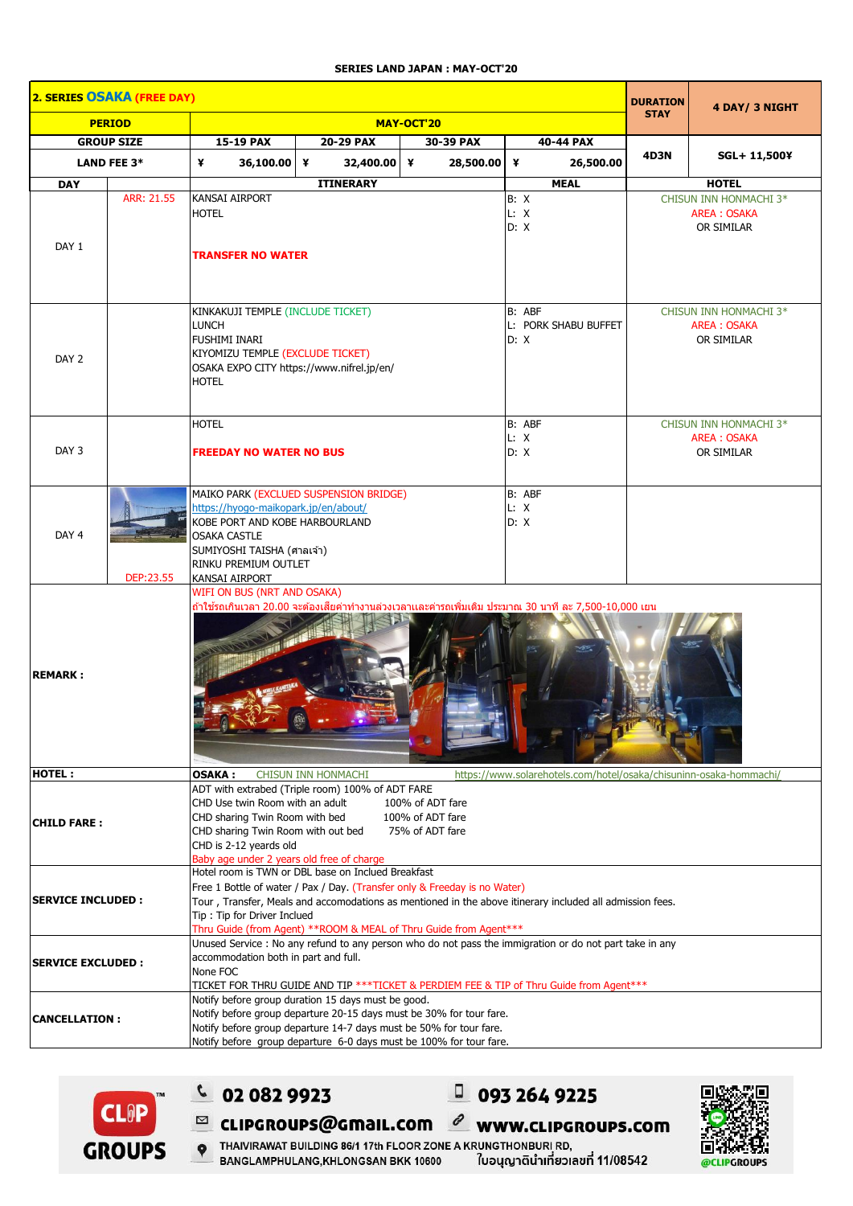## **SERIES LAND JAPAN : MAY-OCT'20**

| 2. SERIES OSAKA (FREE DAY) |                                                                                                                                                                                                                              |                                                                                                                                                                                                                                                                                                                                                  |                                     |             |                                        |                                                            | 4 DAY/ 3 NIGHT |  |  |
|----------------------------|------------------------------------------------------------------------------------------------------------------------------------------------------------------------------------------------------------------------------|--------------------------------------------------------------------------------------------------------------------------------------------------------------------------------------------------------------------------------------------------------------------------------------------------------------------------------------------------|-------------------------------------|-------------|----------------------------------------|------------------------------------------------------------|----------------|--|--|
| <b>PERIOD</b>              |                                                                                                                                                                                                                              | MAY-OCT'20                                                                                                                                                                                                                                                                                                                                       |                                     |             |                                        | <b>STAY</b>                                                |                |  |  |
| <b>GROUP SIZE</b>          |                                                                                                                                                                                                                              | 15-19 PAX                                                                                                                                                                                                                                                                                                                                        | 20-29 PAX<br>30-39 PAX<br>40-44 PAX |             |                                        |                                                            |                |  |  |
| <b>LAND FEE 3*</b>         |                                                                                                                                                                                                                              | ¥<br>36,100.00 ¥                                                                                                                                                                                                                                                                                                                                 | 32,400.00 ¥                         | 28,500.00 ¥ | 26,500.00                              | <b>4D3N</b>                                                | SGL+ 11,500¥   |  |  |
| <b>DAY</b>                 |                                                                                                                                                                                                                              |                                                                                                                                                                                                                                                                                                                                                  | <b>ITINERARY</b>                    |             | <b>MEAL</b>                            |                                                            | <b>HOTEL</b>   |  |  |
| DAY 1                      | ARR: 21.55                                                                                                                                                                                                                   | <b>KANSAI AIRPORT</b><br><b>HOTEL</b><br><b>TRANSFER NO WATER</b>                                                                                                                                                                                                                                                                                |                                     |             | B: X<br>L: X<br>D: X                   | CHISUN INN HONMACHI 3*<br><b>AREA: OSAKA</b><br>OR SIMILAR |                |  |  |
| DAY <sub>2</sub>           |                                                                                                                                                                                                                              | KINKAKUJI TEMPLE (INCLUDE TICKET)<br><b>LUNCH</b><br><b>FUSHIMI INARI</b><br>KIYOMIZU TEMPLE (EXCLUDE TICKET)<br>OSAKA EXPO CITY https://www.nifrel.jp/en/<br><b>HOTEL</b>                                                                                                                                                                       |                                     |             | B: ABF<br>L: PORK SHABU BUFFET<br>D: X | CHISUN INN HONMACHI 3*<br><b>AREA: OSAKA</b><br>OR SIMILAR |                |  |  |
| DAY <sub>3</sub>           |                                                                                                                                                                                                                              | <b>HOTEL</b><br><b>FREEDAY NO WATER NO BUS</b>                                                                                                                                                                                                                                                                                                   |                                     |             | B: ABF<br>L: X<br>D: X                 | CHISUN INN HONMACHI 3*<br><b>AREA: OSAKA</b><br>OR SIMILAR |                |  |  |
| DAY 4                      | MAIKO PARK (EXCLUED SUSPENSION BRIDGE)<br>https://hyogo-maikopark.jp/en/about/<br>KOBE PORT AND KOBE HARBOURLAND<br><b>OSAKA CASTLE</b><br>SUMIYOSHI TAISHA (ศาลเจ้า)<br>RINKU PREMIUM OUTLET<br>DEP:23.55<br>KANSAI AIRPORT |                                                                                                                                                                                                                                                                                                                                                  |                                     |             | B: ABF<br>L: X<br>D: X                 |                                                            |                |  |  |
| <b>REMARK:</b>             |                                                                                                                                                                                                                              | WIFI ON BUS (NRT AND OSAKA)<br>้ถ้าใช้รถเกินเวลา 20.00 จะต้องเสียค่าทำงานล่วงเวลาและค่ารถเพิ่มเติม ประมาณ 30 นาที ละ 7,500-10,000 เยน                                                                                                                                                                                                            |                                     |             |                                        |                                                            |                |  |  |
| <b>HOTEL:</b>              |                                                                                                                                                                                                                              | <b>CHISUN INN HONMACHI</b><br>https://www.solarehotels.com/hotel/osaka/chisuninn-osaka-hommachi/<br><b>OSAKA:</b>                                                                                                                                                                                                                                |                                     |             |                                        |                                                            |                |  |  |
| <b>CHILD FARE:</b>         |                                                                                                                                                                                                                              | ADT with extrabed (Triple room) 100% of ADT FARE<br>CHD Use twin Room with an adult<br>100% of ADT fare<br>CHD sharing Twin Room with bed<br>100% of ADT fare<br>CHD sharing Twin Room with out bed<br>75% of ADT fare<br>CHD is 2-12 yeards old<br>Baby age under 2 years old free of charge                                                    |                                     |             |                                        |                                                            |                |  |  |
| <b>SERVICE INCLUDED:</b>   |                                                                                                                                                                                                                              | Hotel room is TWN or DBL base on Inclued Breakfast<br>Free 1 Bottle of water / Pax / Day. (Transfer only & Freeday is no Water)<br>Tour, Transfer, Meals and accomodations as mentioned in the above itinerary included all admission fees.<br>Tip: Tip for Driver Inclued<br>Thru Guide (from Agent) ** ROOM & MEAL of Thru Guide from Agent*** |                                     |             |                                        |                                                            |                |  |  |
| <b>SERVICE EXCLUDED:</b>   |                                                                                                                                                                                                                              | Unused Service : No any refund to any person who do not pass the immigration or do not part take in any<br>accommodation both in part and full.<br>None FOC<br>TICKET FOR THRU GUIDE AND TIP ***TICKET & PERDIEM FEE & TIP of Thru Guide from Agent***                                                                                           |                                     |             |                                        |                                                            |                |  |  |
| <b>CANCELLATION:</b>       |                                                                                                                                                                                                                              | Notify before group duration 15 days must be good.<br>Notify before group departure 20-15 days must be 30% for tour fare.<br>Notify before group departure 14-7 days must be 50% for tour fare.<br>Notify before group departure 6-0 days must be 100% for tour fare.                                                                            |                                     |             |                                        |                                                            |                |  |  |





 $0932649225$ 

 $\ell$  www.clipgroups.com



P THAIVIRAWAT BUILDING 86/1 17th FLOOR ZONE A KRUNGTHONBURI RD, BANGLAMPHULANG, KHLONGSAN BKK 10600 ใบอนุญาตินำเที่ยวเลขที่ 11/08542